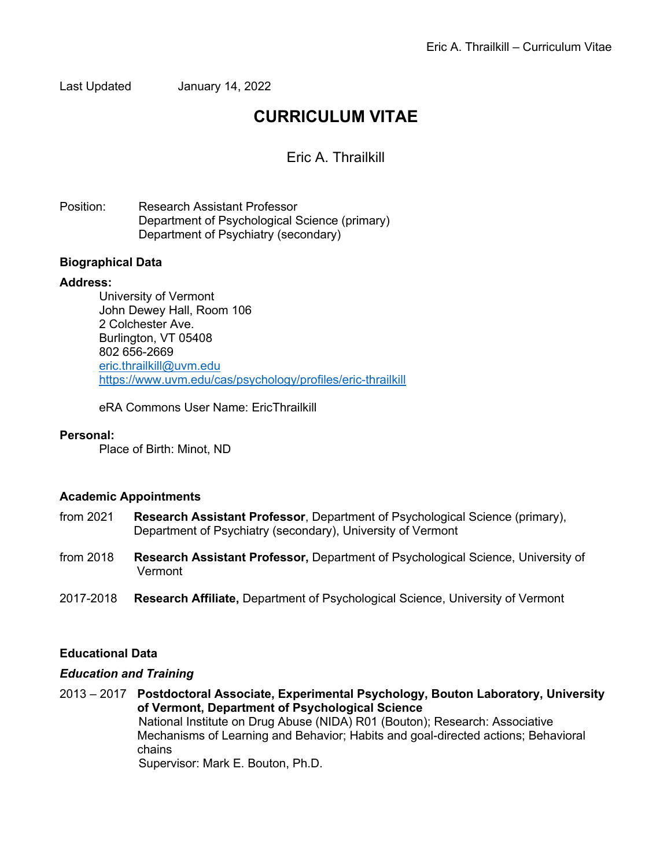Last Updated January 14, 2022

# **CURRICULUM VITAE**

Eric A. Thrailkill

Position: Research Assistant Professor Department of Psychological Science (primary) Department of Psychiatry (secondary)

## **Biographical Data**

## **Address:**

University of Vermont John Dewey Hall, Room 106 2 Colchester Ave. Burlington, VT 05408 802 656-2669 eric.thrailkill@uvm.edu https://www.uvm.edu/cas/psychology/profiles/eric-thrailkill

eRA Commons User Name: EricThrailkill

#### **Personal:**

Place of Birth: Minot, ND

#### **Academic Appointments**

- from 2021 **Research Assistant Professor**, Department of Psychological Science (primary), Department of Psychiatry (secondary), University of Vermont
- from 2018 **Research Assistant Professor,** Department of Psychological Science, University of Vermont
- 2017-2018 **Research Affiliate,** Department of Psychological Science, University of Vermont

## **Educational Data**

#### *Education and Training*

2013 – 2017 **Postdoctoral Associate, Experimental Psychology, Bouton Laboratory, University of Vermont, Department of Psychological Science** National Institute on Drug Abuse (NIDA) R01 (Bouton); Research: Associative Mechanisms of Learning and Behavior; Habits and goal-directed actions; Behavioral chains Supervisor: Mark E. Bouton, Ph.D.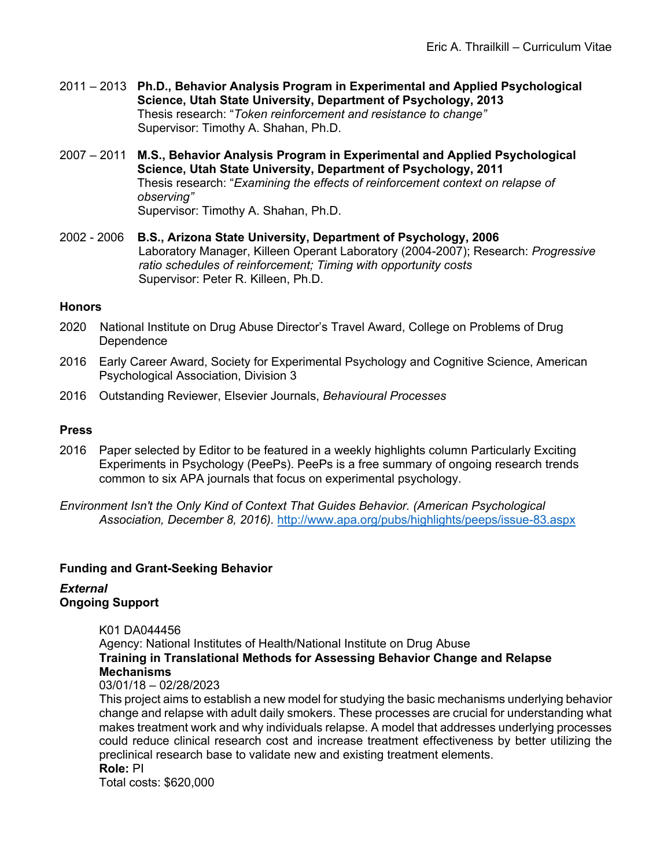- 2011 2013 **Ph.D., Behavior Analysis Program in Experimental and Applied Psychological Science, Utah State University, Department of Psychology, 2013** Thesis research: "*Token reinforcement and resistance to change"* Supervisor: Timothy A. Shahan, Ph.D.
- 2007 2011 **M.S., Behavior Analysis Program in Experimental and Applied Psychological Science, Utah State University, Department of Psychology, 2011** Thesis research: "*Examining the effects of reinforcement context on relapse of observing"* Supervisor: Timothy A. Shahan, Ph.D.
- 2002 2006 **B.S., Arizona State University, Department of Psychology, 2006** Laboratory Manager, Killeen Operant Laboratory (2004-2007); Research: *Progressive ratio schedules of reinforcement; Timing with opportunity costs* Supervisor: Peter R. Killeen, Ph.D.

#### **Honors**

- 2020 National Institute on Drug Abuse Director's Travel Award, College on Problems of Drug Dependence
- 2016 Early Career Award, Society for Experimental Psychology and Cognitive Science, American Psychological Association, Division 3
- 2016 Outstanding Reviewer, Elsevier Journals, *Behavioural Processes*

## **Press**

- 2016 Paper selected by Editor to be featured in a weekly highlights column Particularly Exciting Experiments in Psychology (PeePs). PeePs is a free summary of ongoing research trends common to six APA journals that focus on experimental psychology.
- *Environment Isn't the Only Kind of Context That Guides Behavior. (American Psychological Association, December 8, 2016).* http://www.apa.org/pubs/highlights/peeps/issue-83.aspx

#### **Funding and Grant-Seeking Behavior**

## *External* **Ongoing Support**

K01 DA044456 Agency: National Institutes of Health/National Institute on Drug Abuse **Training in Translational Methods for Assessing Behavior Change and Relapse Mechanisms**

## 03/01/18 – 02/28/2023

This project aims to establish a new model for studying the basic mechanisms underlying behavior change and relapse with adult daily smokers. These processes are crucial for understanding what makes treatment work and why individuals relapse. A model that addresses underlying processes could reduce clinical research cost and increase treatment effectiveness by better utilizing the preclinical research base to validate new and existing treatment elements. **Role:** PI

Total costs: \$620,000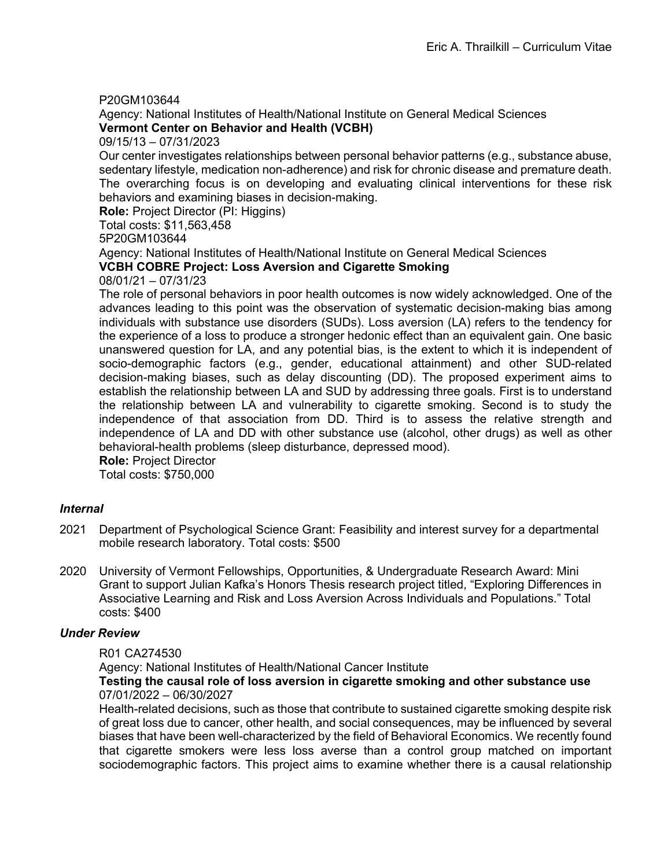## P20GM103644

Agency: National Institutes of Health/National Institute on General Medical Sciences **Vermont Center on Behavior and Health (VCBH)**

09/15/13 – 07/31/2023

Our center investigates relationships between personal behavior patterns (e.g., substance abuse, sedentary lifestyle, medication non-adherence) and risk for chronic disease and premature death. The overarching focus is on developing and evaluating clinical interventions for these risk behaviors and examining biases in decision-making.

**Role:** Project Director (PI: Higgins)

Total costs: \$11,563,458

5P20GM103644

Agency: National Institutes of Health/National Institute on General Medical Sciences

# **VCBH COBRE Project: Loss Aversion and Cigarette Smoking**

#### 08/01/21 – 07/31/23

The role of personal behaviors in poor health outcomes is now widely acknowledged. One of the advances leading to this point was the observation of systematic decision-making bias among individuals with substance use disorders (SUDs). Loss aversion (LA) refers to the tendency for the experience of a loss to produce a stronger hedonic effect than an equivalent gain. One basic unanswered question for LA, and any potential bias, is the extent to which it is independent of socio-demographic factors (e.g., gender, educational attainment) and other SUD-related decision-making biases, such as delay discounting (DD). The proposed experiment aims to establish the relationship between LA and SUD by addressing three goals. First is to understand the relationship between LA and vulnerability to cigarette smoking. Second is to study the independence of that association from DD. Third is to assess the relative strength and independence of LA and DD with other substance use (alcohol, other drugs) as well as other behavioral-health problems (sleep disturbance, depressed mood).

**Role:** Project Director

Total costs: \$750,000

## *Internal*

- 2021 Department of Psychological Science Grant: Feasibility and interest survey for a departmental mobile research laboratory. Total costs: \$500
- 2020 University of Vermont Fellowships, Opportunities, & Undergraduate Research Award: Mini Grant to support Julian Kafka's Honors Thesis research project titled, "Exploring Differences in Associative Learning and Risk and Loss Aversion Across Individuals and Populations." Total costs: \$400

## *Under Review*

#### R01 CA274530

Agency: National Institutes of Health/National Cancer Institute

## **Testing the causal role of loss aversion in cigarette smoking and other substance use** 07/01/2022 – 06/30/2027

Health-related decisions, such as those that contribute to sustained cigarette smoking despite risk of great loss due to cancer, other health, and social consequences, may be influenced by several biases that have been well-characterized by the field of Behavioral Economics. We recently found that cigarette smokers were less loss averse than a control group matched on important sociodemographic factors. This project aims to examine whether there is a causal relationship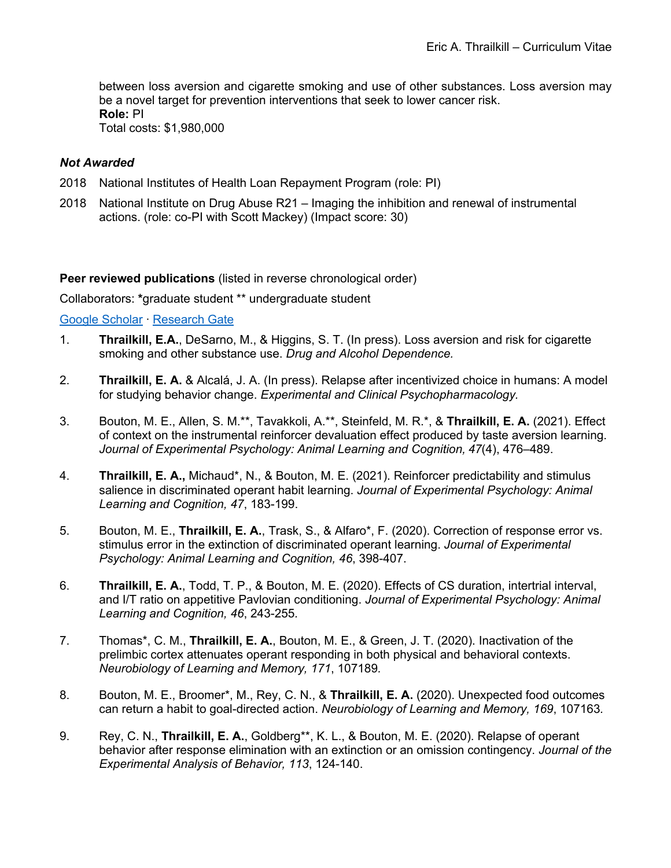between loss aversion and cigarette smoking and use of other substances. Loss aversion may be a novel target for prevention interventions that seek to lower cancer risk. **Role:** PI Total costs: \$1,980,000

## *Not Awarded*

- 2018 National Institutes of Health Loan Repayment Program (role: PI)
- 2018 National Institute on Drug Abuse R21 Imaging the inhibition and renewal of instrumental actions. (role: co-PI with Scott Mackey) (Impact score: 30)

**Peer reviewed publications** (listed in reverse chronological order)

Collaborators: **\***graduate student \*\* undergraduate student

Google Scholar ∙ Research Gate

- 1. **Thrailkill, E.A.**, DeSarno, M., & Higgins, S. T. (In press). Loss aversion and risk for cigarette smoking and other substance use. *Drug and Alcohol Dependence.*
- 2. **Thrailkill, E. A.** & Alcalá, J. A. (In press). Relapse after incentivized choice in humans: A model for studying behavior change. *Experimental and Clinical Psychopharmacology.*
- 3. Bouton, M. E., Allen, S. M.\*\*, Tavakkoli, A.\*\*, Steinfeld, M. R.\*, & **Thrailkill, E. A.** (2021). Effect of context on the instrumental reinforcer devaluation effect produced by taste aversion learning. *Journal of Experimental Psychology: Animal Learning and Cognition, 47*(4), 476–489.
- 4. **Thrailkill, E. A.,** Michaud\*, N., & Bouton, M. E. (2021). Reinforcer predictability and stimulus salience in discriminated operant habit learning. *Journal of Experimental Psychology: Animal Learning and Cognition, 47*, 183-199.
- 5. Bouton, M. E., **Thrailkill, E. A.**, Trask, S., & Alfaro\*, F. (2020). Correction of response error vs. stimulus error in the extinction of discriminated operant learning. *Journal of Experimental Psychology: Animal Learning and Cognition, 46*, 398-407.
- 6. **Thrailkill, E. A.**, Todd, T. P., & Bouton, M. E. (2020). Effects of CS duration, intertrial interval, and I/T ratio on appetitive Pavlovian conditioning. *Journal of Experimental Psychology: Animal Learning and Cognition, 46*, 243-255*.*
- 7. Thomas\*, C. M., **Thrailkill, E. A.**, Bouton, M. E., & Green, J. T. (2020). Inactivation of the prelimbic cortex attenuates operant responding in both physical and behavioral contexts. *Neurobiology of Learning and Memory, 171*, 107189*.*
- 8. Bouton, M. E., Broomer\*, M., Rey, C. N., & **Thrailkill, E. A.** (2020). Unexpected food outcomes can return a habit to goal-directed action. *Neurobiology of Learning and Memory, 169*, 107163*.*
- 9. Rey, C. N., **Thrailkill, E. A.**, Goldberg\*\*, K. L., & Bouton, M. E. (2020). Relapse of operant behavior after response elimination with an extinction or an omission contingency. *Journal of the Experimental Analysis of Behavior, 113*, 124-140.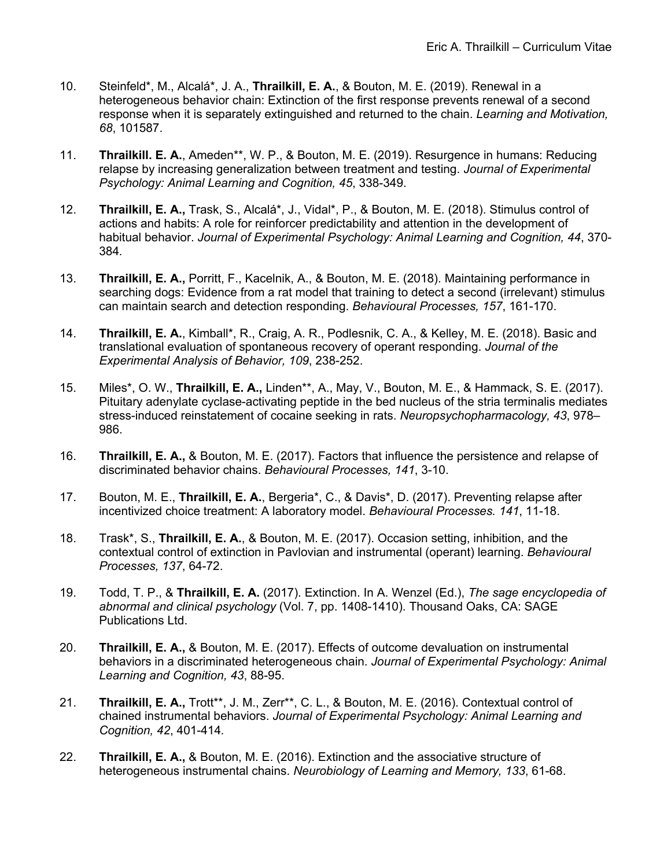- 10. Steinfeld\*, M., Alcalá\*, J. A., **Thrailkill, E. A.**, & Bouton, M. E. (2019). Renewal in a heterogeneous behavior chain: Extinction of the first response prevents renewal of a second response when it is separately extinguished and returned to the chain. *Learning and Motivation, 68*, 101587.
- 11. **Thrailkill. E. A.**, Ameden\*\*, W. P., & Bouton, M. E. (2019). Resurgence in humans: Reducing relapse by increasing generalization between treatment and testing. *Journal of Experimental Psychology: Animal Learning and Cognition, 45*, 338-349.
- 12. **Thrailkill, E. A.,** Trask, S., Alcalá\*, J., Vidal\*, P., & Bouton, M. E. (2018). Stimulus control of actions and habits: A role for reinforcer predictability and attention in the development of habitual behavior. *Journal of Experimental Psychology: Animal Learning and Cognition, 44*, 370- 384*.*
- 13. **Thrailkill, E. A.,** Porritt, F., Kacelnik, A., & Bouton, M. E. (2018). Maintaining performance in searching dogs: Evidence from a rat model that training to detect a second (irrelevant) stimulus can maintain search and detection responding. *Behavioural Processes, 157*, 161-170.
- 14. **Thrailkill, E. A.**, Kimball\*, R., Craig, A. R., Podlesnik, C. A., & Kelley, M. E. (2018). Basic and translational evaluation of spontaneous recovery of operant responding. *Journal of the Experimental Analysis of Behavior, 109*, 238-252.
- 15. Miles\*, O. W., **Thrailkill, E. A.,** Linden\*\*, A., May, V., Bouton, M. E., & Hammack, S. E. (2017). Pituitary adenylate cyclase-activating peptide in the bed nucleus of the stria terminalis mediates stress-induced reinstatement of cocaine seeking in rats. *Neuropsychopharmacology, 43*, 978– 986.
- 16. **Thrailkill, E. A.,** & Bouton, M. E. (2017). Factors that influence the persistence and relapse of discriminated behavior chains. *Behavioural Processes, 141*, 3-10.
- 17. Bouton, M. E., **Thrailkill, E. A.**, Bergeria\*, C., & Davis\*, D. (2017). Preventing relapse after incentivized choice treatment: A laboratory model. *Behavioural Processes. 141*, 11-18.
- 18. Trask\*, S., **Thrailkill, E. A.**, & Bouton, M. E. (2017). Occasion setting, inhibition, and the contextual control of extinction in Pavlovian and instrumental (operant) learning. *Behavioural Processes, 137*, 64-72.
- 19. Todd, T. P., & **Thrailkill, E. A.** (2017). Extinction. In A. Wenzel (Ed.), *The sage encyclopedia of abnormal and clinical psychology* (Vol. 7, pp. 1408-1410). Thousand Oaks, CA: SAGE Publications Ltd.
- 20. **Thrailkill, E. A.,** & Bouton, M. E. (2017). Effects of outcome devaluation on instrumental behaviors in a discriminated heterogeneous chain. *Journal of Experimental Psychology: Animal Learning and Cognition, 43*, 88-95.
- 21. **Thrailkill, E. A.,** Trott\*\*, J. M., Zerr\*\*, C. L., & Bouton, M. E. (2016). Contextual control of chained instrumental behaviors. *Journal of Experimental Psychology: Animal Learning and Cognition, 42*, 401-414*.*
- 22. **Thrailkill, E. A.,** & Bouton, M. E. (2016). Extinction and the associative structure of heterogeneous instrumental chains. *Neurobiology of Learning and Memory, 133*, 61-68.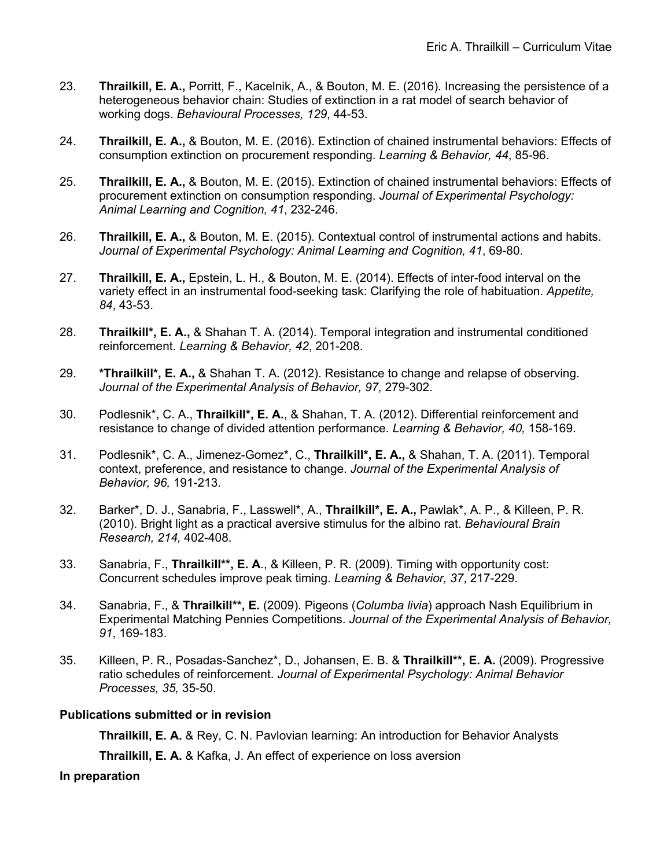- 23. **Thrailkill, E. A.,** Porritt, F., Kacelnik, A., & Bouton, M. E. (2016). Increasing the persistence of a heterogeneous behavior chain: Studies of extinction in a rat model of search behavior of working dogs. *Behavioural Processes, 129*, 44-53.
- 24. **Thrailkill, E. A.,** & Bouton, M. E. (2016). Extinction of chained instrumental behaviors: Effects of consumption extinction on procurement responding. *Learning & Behavior, 44*, 85-96.
- 25. **Thrailkill, E. A.,** & Bouton, M. E. (2015). Extinction of chained instrumental behaviors: Effects of procurement extinction on consumption responding. *Journal of Experimental Psychology: Animal Learning and Cognition, 41*, 232-246.
- 26. **Thrailkill, E. A.,** & Bouton, M. E. (2015). Contextual control of instrumental actions and habits. *Journal of Experimental Psychology: Animal Learning and Cognition, 41*, 69-80.
- 27. **Thrailkill, E. A.,** Epstein, L. H., & Bouton, M. E. (2014). Effects of inter-food interval on the variety effect in an instrumental food-seeking task: Clarifying the role of habituation. *Appetite, 84*, 43-53.
- 28. **Thrailkill\*, E. A.,** & Shahan T. A. (2014). Temporal integration and instrumental conditioned reinforcement. *Learning & Behavior, 42*, 201-208.
- 29. **\*Thrailkill\*, E. A.,** & Shahan T. A. (2012). Resistance to change and relapse of observing. *Journal of the Experimental Analysis of Behavior, 97,* 279-302.
- 30. Podlesnik\*, C. A., **Thrailkill\*, E. A.**, & Shahan, T. A. (2012). Differential reinforcement and resistance to change of divided attention performance. *Learning & Behavior, 40,* 158-169.
- 31. Podlesnik\*, C. A., Jimenez-Gomez\*, C., **Thrailkill\*, E. A.,** & Shahan, T. A. (2011). Temporal context, preference, and resistance to change. *Journal of the Experimental Analysis of Behavior, 96,* 191-213.
- 32. Barker\*, D. J., Sanabria, F., Lasswell\*, A., **Thrailkill\*, E. A.,** Pawlak\*, A. P., & Killeen, P. R. (2010). Bright light as a practical aversive stimulus for the albino rat. *Behavioural Brain Research, 214,* 402-408.
- 33. Sanabria, F., **Thrailkill\*\*, E. A**., & Killeen, P. R. (2009). Timing with opportunity cost: Concurrent schedules improve peak timing. *Learning & Behavior, 37*, 217-229.
- 34. Sanabria, F., & **Thrailkill\*\*, E.** (2009). Pigeons (*Columba livia*) approach Nash Equilibrium in Experimental Matching Pennies Competitions. *Journal of the Experimental Analysis of Behavior, 91*, 169-183.
- 35. Killeen, P. R., Posadas-Sanchez\*, D., Johansen, E. B. & **Thrailkill\*\*, E. A.** (2009). Progressive ratio schedules of reinforcement. *Journal of Experimental Psychology: Animal Behavior Processes, 35,* 35-50.

## **Publications submitted or in revision**

**Thrailkill, E. A.** & Rey, C. N. Pavlovian learning: An introduction for Behavior Analysts

**Thrailkill, E. A.** & Kafka, J. An effect of experience on loss aversion

#### **In preparation**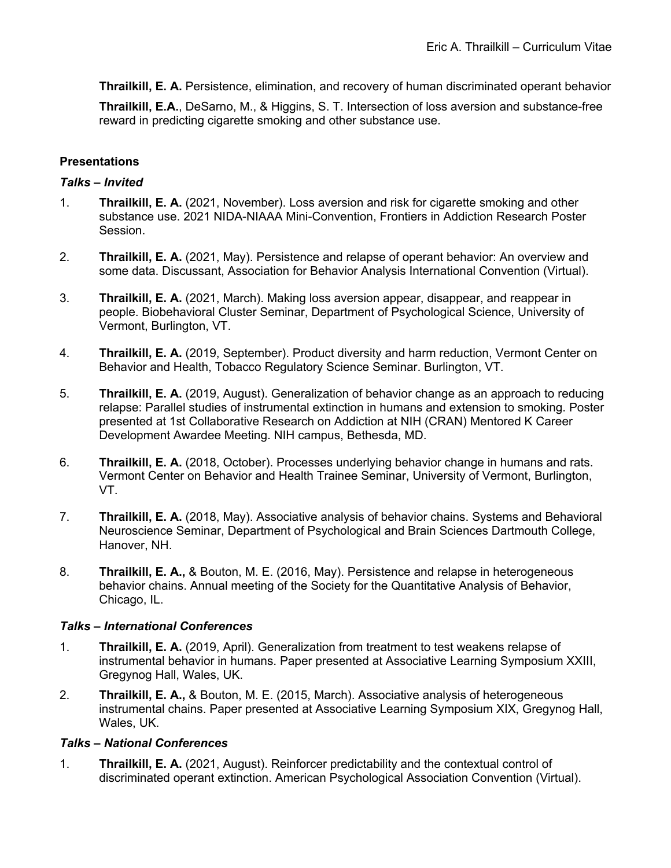**Thrailkill, E. A.** Persistence, elimination, and recovery of human discriminated operant behavior

**Thrailkill, E.A.**, DeSarno, M., & Higgins, S. T. Intersection of loss aversion and substance-free reward in predicting cigarette smoking and other substance use.

# **Presentations**

## *Talks – Invited*

- 1. **Thrailkill, E. A.** (2021, November). Loss aversion and risk for cigarette smoking and other substance use. 2021 NIDA-NIAAA Mini-Convention, Frontiers in Addiction Research Poster Session.
- 2. **Thrailkill, E. A.** (2021, May). Persistence and relapse of operant behavior: An overview and some data. Discussant, Association for Behavior Analysis International Convention (Virtual).
- 3. **Thrailkill, E. A.** (2021, March). Making loss aversion appear, disappear, and reappear in people. Biobehavioral Cluster Seminar, Department of Psychological Science, University of Vermont, Burlington, VT.
- 4. **Thrailkill, E. A.** (2019, September). Product diversity and harm reduction, Vermont Center on Behavior and Health, Tobacco Regulatory Science Seminar. Burlington, VT.
- 5. **Thrailkill, E. A.** (2019, August). Generalization of behavior change as an approach to reducing relapse: Parallel studies of instrumental extinction in humans and extension to smoking. Poster presented at 1st Collaborative Research on Addiction at NIH (CRAN) Mentored K Career Development Awardee Meeting. NIH campus, Bethesda, MD.
- 6. **Thrailkill, E. A.** (2018, October). Processes underlying behavior change in humans and rats. Vermont Center on Behavior and Health Trainee Seminar, University of Vermont, Burlington, VT.
- 7. **Thrailkill, E. A.** (2018, May). Associative analysis of behavior chains. Systems and Behavioral Neuroscience Seminar, Department of Psychological and Brain Sciences Dartmouth College, Hanover, NH.
- 8. **Thrailkill, E. A.,** & Bouton, M. E. (2016, May). Persistence and relapse in heterogeneous behavior chains. Annual meeting of the Society for the Quantitative Analysis of Behavior, Chicago, IL.

## *Talks – International Conferences*

- 1. **Thrailkill, E. A.** (2019, April). Generalization from treatment to test weakens relapse of instrumental behavior in humans. Paper presented at Associative Learning Symposium XXIII, Gregynog Hall, Wales, UK.
- 2. **Thrailkill, E. A.,** & Bouton, M. E. (2015, March). Associative analysis of heterogeneous instrumental chains. Paper presented at Associative Learning Symposium XIX, Gregynog Hall, Wales, UK.

## *Talks – National Conferences*

1. **Thrailkill, E. A.** (2021, August). Reinforcer predictability and the contextual control of discriminated operant extinction. American Psychological Association Convention (Virtual).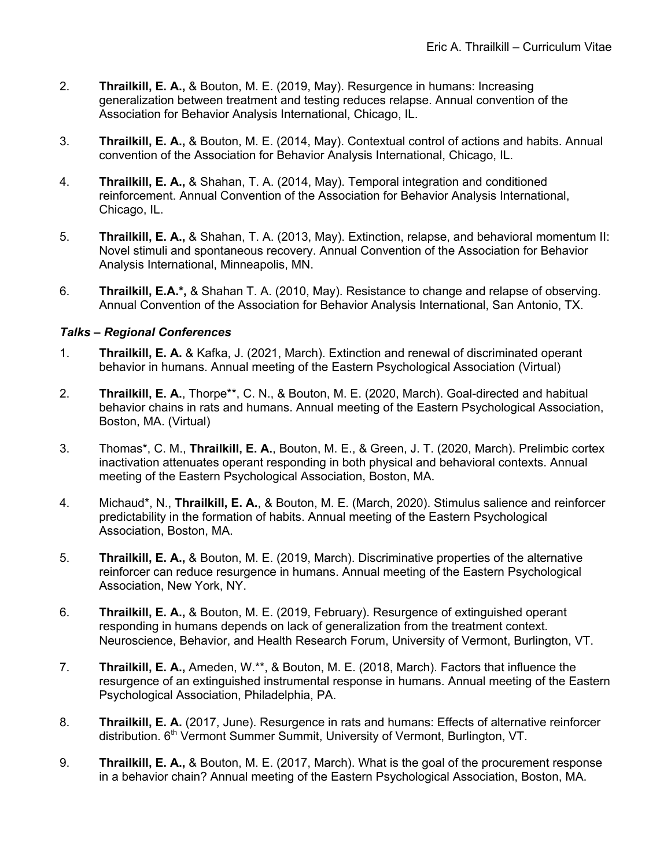- 2. **Thrailkill, E. A.,** & Bouton, M. E. (2019, May). Resurgence in humans: Increasing generalization between treatment and testing reduces relapse. Annual convention of the Association for Behavior Analysis International, Chicago, IL.
- 3. **Thrailkill, E. A.,** & Bouton, M. E. (2014, May). Contextual control of actions and habits. Annual convention of the Association for Behavior Analysis International, Chicago, IL.
- 4. **Thrailkill, E. A.,** & Shahan, T. A. (2014, May). Temporal integration and conditioned reinforcement. Annual Convention of the Association for Behavior Analysis International, Chicago, IL.
- 5. **Thrailkill, E. A.,** & Shahan, T. A. (2013, May). Extinction, relapse, and behavioral momentum II: Novel stimuli and spontaneous recovery. Annual Convention of the Association for Behavior Analysis International, Minneapolis, MN.
- 6. **Thrailkill, E.A.\*,** & Shahan T. A. (2010, May). Resistance to change and relapse of observing. Annual Convention of the Association for Behavior Analysis International, San Antonio, TX.

# *Talks – Regional Conferences*

- 1. **Thrailkill, E. A.** & Kafka, J. (2021, March). Extinction and renewal of discriminated operant behavior in humans. Annual meeting of the Eastern Psychological Association (Virtual)
- 2. **Thrailkill, E. A.**, Thorpe\*\*, C. N., & Bouton, M. E. (2020, March). Goal-directed and habitual behavior chains in rats and humans. Annual meeting of the Eastern Psychological Association, Boston, MA. (Virtual)
- 3. Thomas\*, C. M., **Thrailkill, E. A.**, Bouton, M. E., & Green, J. T. (2020, March). Prelimbic cortex inactivation attenuates operant responding in both physical and behavioral contexts. Annual meeting of the Eastern Psychological Association, Boston, MA.
- 4. Michaud\*, N., **Thrailkill, E. A.**, & Bouton, M. E. (March, 2020). Stimulus salience and reinforcer predictability in the formation of habits. Annual meeting of the Eastern Psychological Association, Boston, MA.
- 5. **Thrailkill, E. A.,** & Bouton, M. E. (2019, March). Discriminative properties of the alternative reinforcer can reduce resurgence in humans. Annual meeting of the Eastern Psychological Association, New York, NY.
- 6. **Thrailkill, E. A.,** & Bouton, M. E. (2019, February). Resurgence of extinguished operant responding in humans depends on lack of generalization from the treatment context. Neuroscience, Behavior, and Health Research Forum, University of Vermont, Burlington, VT.
- 7. **Thrailkill, E. A.,** Ameden, W.\*\*, & Bouton, M. E. (2018, March). Factors that influence the resurgence of an extinguished instrumental response in humans. Annual meeting of the Eastern Psychological Association, Philadelphia, PA.
- 8. **Thrailkill, E. A.** (2017, June). Resurgence in rats and humans: Effects of alternative reinforcer distribution. 6<sup>th</sup> Vermont Summer Summit, University of Vermont, Burlington, VT.
- 9. **Thrailkill, E. A.,** & Bouton, M. E. (2017, March). What is the goal of the procurement response in a behavior chain? Annual meeting of the Eastern Psychological Association, Boston, MA.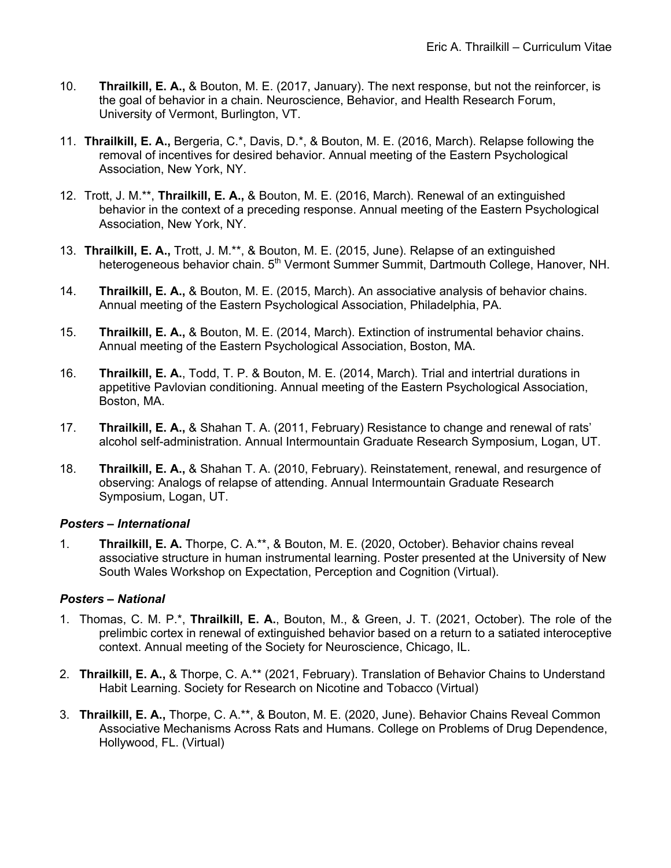- 10. **Thrailkill, E. A.,** & Bouton, M. E. (2017, January). The next response, but not the reinforcer, is the goal of behavior in a chain. Neuroscience, Behavior, and Health Research Forum, University of Vermont, Burlington, VT.
- 11. **Thrailkill, E. A.,** Bergeria, C.\*, Davis, D.\*, & Bouton, M. E. (2016, March). Relapse following the removal of incentives for desired behavior. Annual meeting of the Eastern Psychological Association, New York, NY.
- 12. Trott, J. M.\*\*, **Thrailkill, E. A.,** & Bouton, M. E. (2016, March). Renewal of an extinguished behavior in the context of a preceding response. Annual meeting of the Eastern Psychological Association, New York, NY.
- 13. **Thrailkill, E. A.,** Trott, J. M.\*\*, & Bouton, M. E. (2015, June). Relapse of an extinguished heterogeneous behavior chain. 5<sup>th</sup> Vermont Summer Summit, Dartmouth College, Hanover, NH.
- 14. **Thrailkill, E. A.,** & Bouton, M. E. (2015, March). An associative analysis of behavior chains. Annual meeting of the Eastern Psychological Association, Philadelphia, PA.
- 15. **Thrailkill, E. A.,** & Bouton, M. E. (2014, March). Extinction of instrumental behavior chains. Annual meeting of the Eastern Psychological Association, Boston, MA.
- 16. **Thrailkill, E. A.**, Todd, T. P. & Bouton, M. E. (2014, March). Trial and intertrial durations in appetitive Pavlovian conditioning. Annual meeting of the Eastern Psychological Association, Boston, MA.
- 17. **Thrailkill, E. A.,** & Shahan T. A. (2011, February) Resistance to change and renewal of rats' alcohol self-administration. Annual Intermountain Graduate Research Symposium, Logan, UT.
- 18. **Thrailkill, E. A.,** & Shahan T. A. (2010, February). Reinstatement, renewal, and resurgence of observing: Analogs of relapse of attending. Annual Intermountain Graduate Research Symposium, Logan, UT.

## *Posters – International*

1. **Thrailkill, E. A.** Thorpe, C. A.\*\*, & Bouton, M. E. (2020, October). Behavior chains reveal associative structure in human instrumental learning. Poster presented at the University of New South Wales Workshop on Expectation, Perception and Cognition (Virtual).

## *Posters – National*

- 1. Thomas, C. M. P.\*, **Thrailkill, E. A.**, Bouton, M., & Green, J. T. (2021, October). The role of the prelimbic cortex in renewal of extinguished behavior based on a return to a satiated interoceptive context. Annual meeting of the Society for Neuroscience, Chicago, IL.
- 2. **Thrailkill, E. A.,** & Thorpe, C. A.\*\* (2021, February). Translation of Behavior Chains to Understand Habit Learning. Society for Research on Nicotine and Tobacco (Virtual)
- 3. **Thrailkill, E. A.,** Thorpe, C. A.\*\*, & Bouton, M. E. (2020, June). Behavior Chains Reveal Common Associative Mechanisms Across Rats and Humans. College on Problems of Drug Dependence, Hollywood, FL. (Virtual)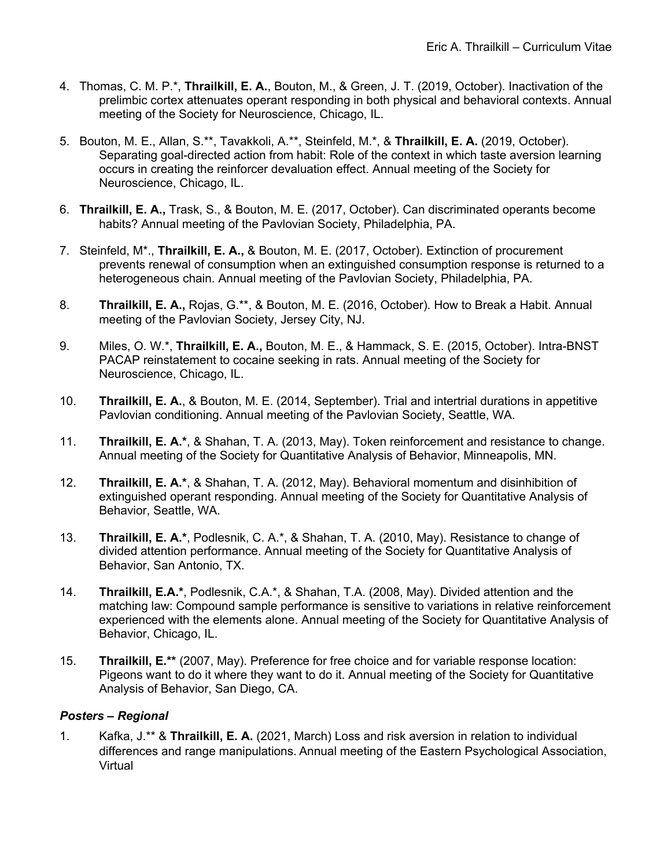- 4. Thomas, C. M. P.\*, **Thrailkill, E. A.**, Bouton, M., & Green, J. T. (2019, October). Inactivation of the prelimbic cortex attenuates operant responding in both physical and behavioral contexts. Annual meeting of the Society for Neuroscience, Chicago, IL.
- 5. Bouton, M. E., Allan, S.\*\*, Tavakkoli, A.\*\*, Steinfeld, M.\*, & **Thrailkill, E. A.** (2019, October). Separating goal-directed action from habit: Role of the context in which taste aversion learning occurs in creating the reinforcer devaluation effect. Annual meeting of the Society for Neuroscience, Chicago, IL.
- 6. **Thrailkill, E. A.,** Trask, S., & Bouton, M. E. (2017, October). Can discriminated operants become habits? Annual meeting of the Pavlovian Society, Philadelphia, PA.
- 7. Steinfeld, M\*., **Thrailkill, E. A.,** & Bouton, M. E. (2017, October). Extinction of procurement prevents renewal of consumption when an extinguished consumption response is returned to a heterogeneous chain. Annual meeting of the Pavlovian Society, Philadelphia, PA.
- 8. **Thrailkill, E. A.,** Rojas, G.\*\*, & Bouton, M. E. (2016, October). How to Break a Habit. Annual meeting of the Pavlovian Society, Jersey City, NJ.
- 9. Miles, O. W.\*, **Thrailkill, E. A.,** Bouton, M. E., & Hammack, S. E. (2015, October). Intra-BNST PACAP reinstatement to cocaine seeking in rats. Annual meeting of the Society for Neuroscience, Chicago, IL.
- 10. **Thrailkill, E. A.**, & Bouton, M. E. (2014, September). Trial and intertrial durations in appetitive Pavlovian conditioning. Annual meeting of the Pavlovian Society, Seattle, WA.
- 11. **Thrailkill, E. A.\***, & Shahan, T. A. (2013, May). Token reinforcement and resistance to change. Annual meeting of the Society for Quantitative Analysis of Behavior, Minneapolis, MN.
- 12. **Thrailkill, E. A.\***, & Shahan, T. A. (2012, May). Behavioral momentum and disinhibition of extinguished operant responding. Annual meeting of the Society for Quantitative Analysis of Behavior, Seattle, WA.
- 13. **Thrailkill, E. A.\***, Podlesnik, C. A.\*, & Shahan, T. A. (2010, May). Resistance to change of divided attention performance. Annual meeting of the Society for Quantitative Analysis of Behavior, San Antonio, TX.
- 14. **Thrailkill, E.A.\***, Podlesnik, C.A.\*, & Shahan, T.A. (2008, May). Divided attention and the matching law: Compound sample performance is sensitive to variations in relative reinforcement experienced with the elements alone. Annual meeting of the Society for Quantitative Analysis of Behavior, Chicago, IL.
- 15. **Thrailkill, E.\*\*** (2007, May). Preference for free choice and for variable response location: Pigeons want to do it where they want to do it. Annual meeting of the Society for Quantitative Analysis of Behavior, San Diego, CA.

## *Posters – Regional*

1. Kafka, J.\*\* & **Thrailkill, E. A.** (2021, March) Loss and risk aversion in relation to individual differences and range manipulations. Annual meeting of the Eastern Psychological Association, Virtual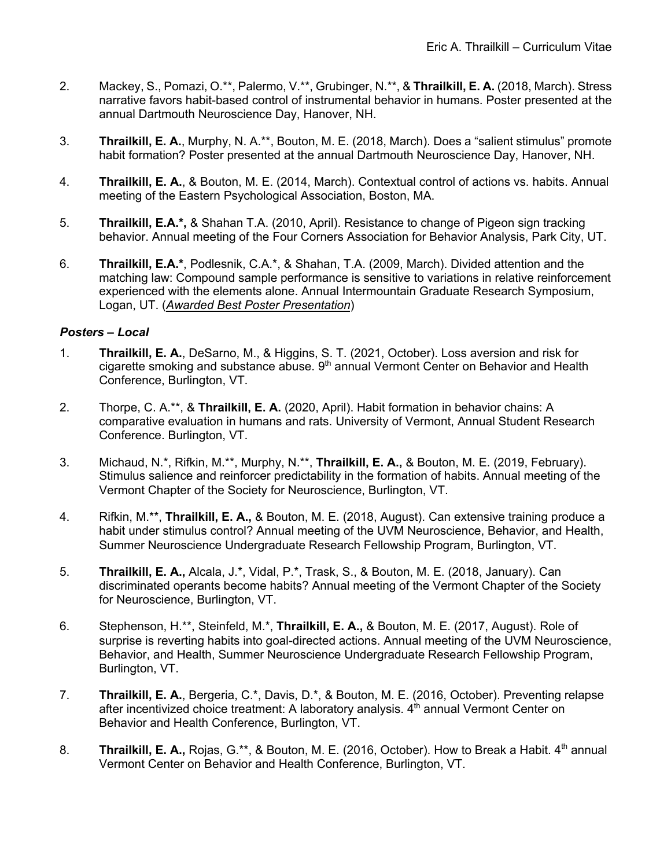- 2. Mackey, S., Pomazi, O.\*\*, Palermo, V.\*\*, Grubinger, N.\*\*, & **Thrailkill, E. A.** (2018, March). Stress narrative favors habit-based control of instrumental behavior in humans. Poster presented at the annual Dartmouth Neuroscience Day, Hanover, NH.
- 3. **Thrailkill, E. A.**, Murphy, N. A.\*\*, Bouton, M. E. (2018, March). Does a "salient stimulus" promote habit formation? Poster presented at the annual Dartmouth Neuroscience Day, Hanover, NH.
- 4. **Thrailkill, E. A.**, & Bouton, M. E. (2014, March). Contextual control of actions vs. habits. Annual meeting of the Eastern Psychological Association, Boston, MA.
- 5. **Thrailkill, E.A.\*,** & Shahan T.A. (2010, April). Resistance to change of Pigeon sign tracking behavior. Annual meeting of the Four Corners Association for Behavior Analysis, Park City, UT.
- 6. **Thrailkill, E.A.\***, Podlesnik, C.A.\*, & Shahan, T.A. (2009, March). Divided attention and the matching law: Compound sample performance is sensitive to variations in relative reinforcement experienced with the elements alone. Annual Intermountain Graduate Research Symposium, Logan, UT. (*Awarded Best Poster Presentation*)

## *Posters – Local*

- 1. **Thrailkill, E. A.**, DeSarno, M., & Higgins, S. T. (2021, October). Loss aversion and risk for cigarette smoking and substance abuse.  $9<sup>th</sup>$  annual Vermont Center on Behavior and Health Conference, Burlington, VT.
- 2. Thorpe, C. A.\*\*, & **Thrailkill, E. A.** (2020, April). Habit formation in behavior chains: A comparative evaluation in humans and rats. University of Vermont, Annual Student Research Conference. Burlington, VT.
- 3. Michaud, N.\*, Rifkin, M.\*\*, Murphy, N.\*\*, **Thrailkill, E. A.,** & Bouton, M. E. (2019, February). Stimulus salience and reinforcer predictability in the formation of habits. Annual meeting of the Vermont Chapter of the Society for Neuroscience, Burlington, VT.
- 4. Rifkin, M.\*\*, **Thrailkill, E. A.,** & Bouton, M. E. (2018, August). Can extensive training produce a habit under stimulus control? Annual meeting of the UVM Neuroscience, Behavior, and Health, Summer Neuroscience Undergraduate Research Fellowship Program, Burlington, VT.
- 5. **Thrailkill, E. A.,** Alcala, J.\*, Vidal, P.\*, Trask, S., & Bouton, M. E. (2018, January). Can discriminated operants become habits? Annual meeting of the Vermont Chapter of the Society for Neuroscience, Burlington, VT.
- 6. Stephenson, H.\*\*, Steinfeld, M.\*, **Thrailkill, E. A.,** & Bouton, M. E. (2017, August). Role of surprise is reverting habits into goal-directed actions. Annual meeting of the UVM Neuroscience, Behavior, and Health, Summer Neuroscience Undergraduate Research Fellowship Program, Burlington, VT.
- 7. **Thrailkill, E. A.**, Bergeria, C.\*, Davis, D.\*, & Bouton, M. E. (2016, October). Preventing relapse after incentivized choice treatment: A laboratory analysis.  $4<sup>th</sup>$  annual Vermont Center on Behavior and Health Conference, Burlington, VT.
- 8. **Thrailkill, E. A., Rojas, G.\*\*, & Bouton, M. E. (2016, October). How to Break a Habit. 4<sup>th</sup> annual** Vermont Center on Behavior and Health Conference, Burlington, VT.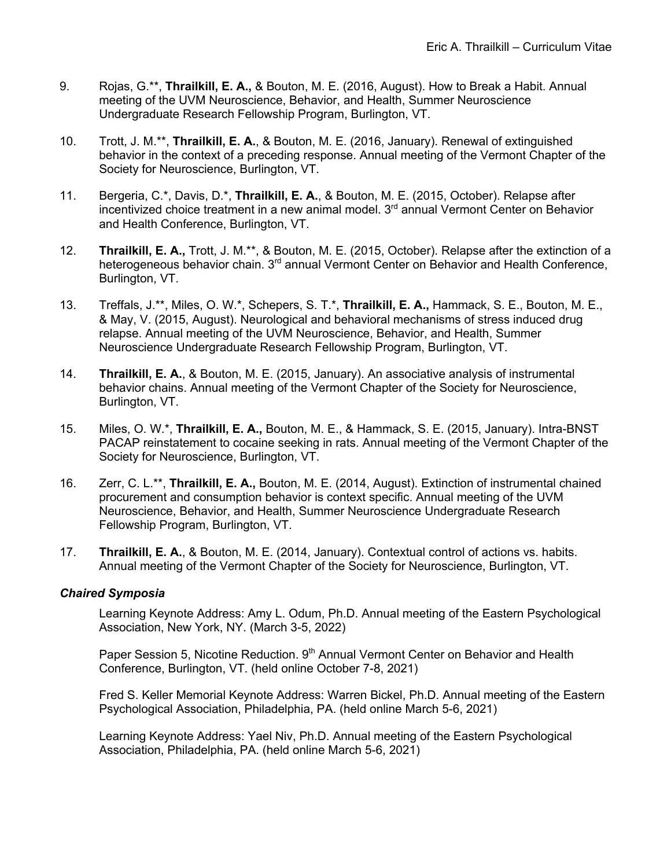- 9. Rojas, G.\*\*, **Thrailkill, E. A.,** & Bouton, M. E. (2016, August). How to Break a Habit. Annual meeting of the UVM Neuroscience, Behavior, and Health, Summer Neuroscience Undergraduate Research Fellowship Program, Burlington, VT.
- 10. Trott, J. M.\*\*, **Thrailkill, E. A.**, & Bouton, M. E. (2016, January). Renewal of extinguished behavior in the context of a preceding response. Annual meeting of the Vermont Chapter of the Society for Neuroscience, Burlington, VT.
- 11. Bergeria, C.\*, Davis, D.\*, **Thrailkill, E. A.**, & Bouton, M. E. (2015, October). Relapse after incentivized choice treatment in a new animal model. 3<sup>rd</sup> annual Vermont Center on Behavior and Health Conference, Burlington, VT.
- 12. **Thrailkill, E. A.,** Trott, J. M.\*\*, & Bouton, M. E. (2015, October). Relapse after the extinction of a heterogeneous behavior chain. 3<sup>rd</sup> annual Vermont Center on Behavior and Health Conference, Burlington, VT.
- 13. Treffals, J.\*\*, Miles, O. W.\*, Schepers, S. T.\*, **Thrailkill, E. A.,** Hammack, S. E., Bouton, M. E., & May, V. (2015, August). Neurological and behavioral mechanisms of stress induced drug relapse. Annual meeting of the UVM Neuroscience, Behavior, and Health, Summer Neuroscience Undergraduate Research Fellowship Program, Burlington, VT.
- 14. **Thrailkill, E. A.**, & Bouton, M. E. (2015, January). An associative analysis of instrumental behavior chains. Annual meeting of the Vermont Chapter of the Society for Neuroscience, Burlington, VT.
- 15. Miles, O. W.\*, **Thrailkill, E. A.,** Bouton, M. E., & Hammack, S. E. (2015, January). Intra-BNST PACAP reinstatement to cocaine seeking in rats. Annual meeting of the Vermont Chapter of the Society for Neuroscience, Burlington, VT.
- 16. Zerr, C. L.\*\*, **Thrailkill, E. A.,** Bouton, M. E. (2014, August). Extinction of instrumental chained procurement and consumption behavior is context specific. Annual meeting of the UVM Neuroscience, Behavior, and Health, Summer Neuroscience Undergraduate Research Fellowship Program, Burlington, VT.
- 17. **Thrailkill, E. A.**, & Bouton, M. E. (2014, January). Contextual control of actions vs. habits. Annual meeting of the Vermont Chapter of the Society for Neuroscience, Burlington, VT.

## *Chaired Symposia*

Learning Keynote Address: Amy L. Odum, Ph.D. Annual meeting of the Eastern Psychological Association, New York, NY. (March 3-5, 2022)

Paper Session 5, Nicotine Reduction. 9<sup>th</sup> Annual Vermont Center on Behavior and Health Conference, Burlington, VT. (held online October 7-8, 2021)

Fred S. Keller Memorial Keynote Address: Warren Bickel, Ph.D. Annual meeting of the Eastern Psychological Association, Philadelphia, PA. (held online March 5-6, 2021)

Learning Keynote Address: Yael Niv, Ph.D. Annual meeting of the Eastern Psychological Association, Philadelphia, PA. (held online March 5-6, 2021)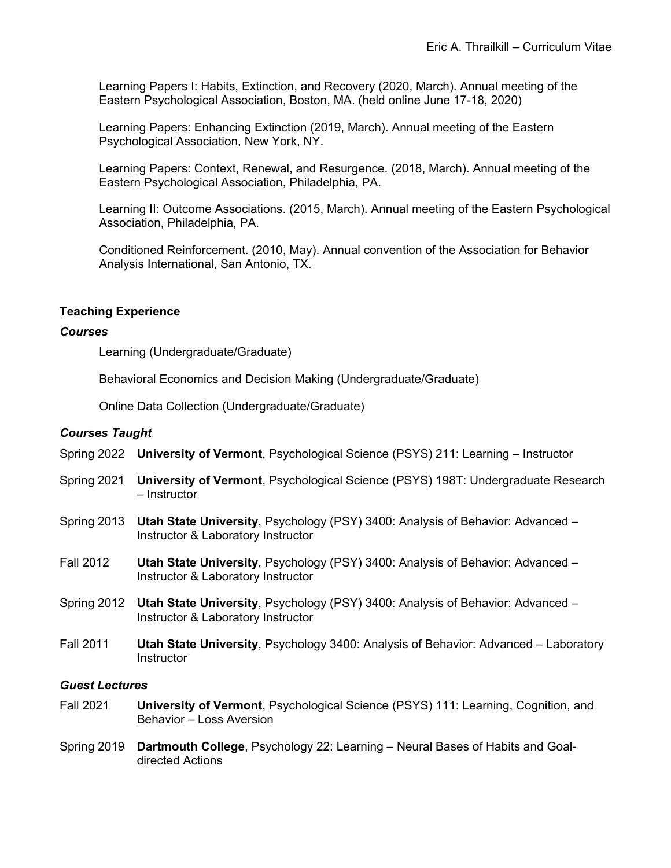Learning Papers I: Habits, Extinction, and Recovery (2020, March). Annual meeting of the Eastern Psychological Association, Boston, MA. (held online June 17-18, 2020)

Learning Papers: Enhancing Extinction (2019, March). Annual meeting of the Eastern Psychological Association, New York, NY.

Learning Papers: Context, Renewal, and Resurgence. (2018, March). Annual meeting of the Eastern Psychological Association, Philadelphia, PA.

Learning II: Outcome Associations. (2015, March). Annual meeting of the Eastern Psychological Association, Philadelphia, PA.

Conditioned Reinforcement. (2010, May). Annual convention of the Association for Behavior Analysis International, San Antonio, TX.

## **Teaching Experience**

#### *Courses*

Learning (Undergraduate/Graduate)

Behavioral Economics and Decision Making (Undergraduate/Graduate)

Online Data Collection (Undergraduate/Graduate)

## *Courses Taught*

- Spring 2022 **University of Vermont**, Psychological Science (PSYS) 211: Learning Instructor
- Spring 2021 **University of Vermont**, Psychological Science (PSYS) 198T: Undergraduate Research – Instructor
- Spring 2013 **Utah State University**, Psychology (PSY) 3400: Analysis of Behavior: Advanced Instructor & Laboratory Instructor
- Fall 2012 **Utah State University**, Psychology (PSY) 3400: Analysis of Behavior: Advanced Instructor & Laboratory Instructor
- Spring 2012 **Utah State University**, Psychology (PSY) 3400: Analysis of Behavior: Advanced Instructor & Laboratory Instructor
- Fall 2011 **Utah State University**, Psychology 3400: Analysis of Behavior: Advanced Laboratory **Instructor**

#### *Guest Lectures*

- Fall 2021 **University of Vermont**, Psychological Science (PSYS) 111: Learning, Cognition, and Behavior – Loss Aversion
- Spring 2019 **Dartmouth College**, Psychology 22: Learning Neural Bases of Habits and Goaldirected Actions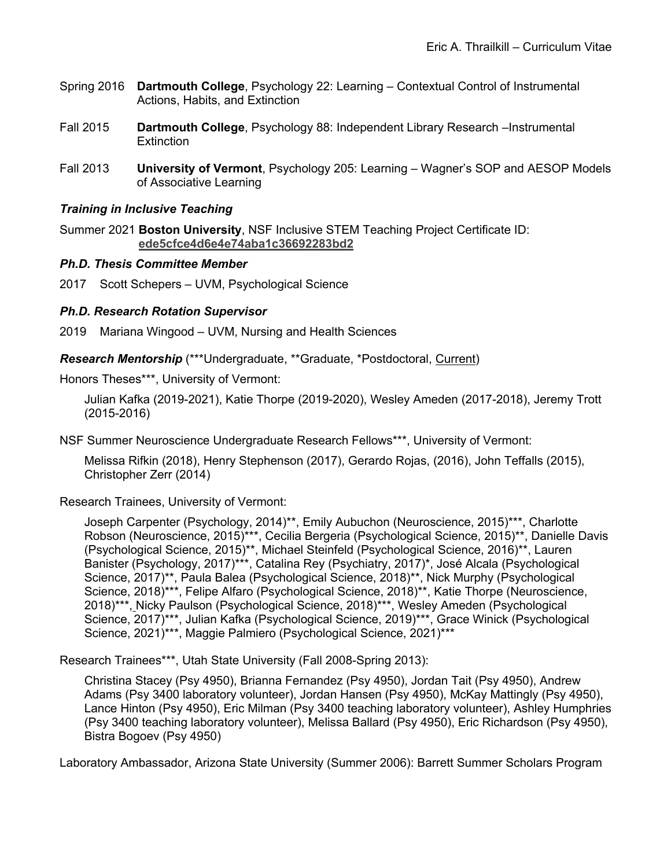- Spring 2016 **Dartmouth College**, Psychology 22: Learning Contextual Control of Instrumental Actions, Habits, and Extinction
- Fall 2015 **Dartmouth College**, Psychology 88: Independent Library Research –Instrumental **Extinction**
- Fall 2013 **University of Vermont**, Psychology 205: Learning Wagner's SOP and AESOP Models of Associative Learning

## *Training in Inclusive Teaching*

Summer 2021 **Boston University**, NSF Inclusive STEM Teaching Project Certificate ID: **ede5cfce4d6e4e74aba1c36692283bd2**

#### *Ph.D. Thesis Committee Member*

2017 Scott Schepers – UVM, Psychological Science

## *Ph.D. Research Rotation Supervisor*

2019 Mariana Wingood – UVM, Nursing and Health Sciences

*Research Mentorship* (\*\*\*Undergraduate, \*\*Graduate, \*Postdoctoral, Current)

Honors Theses\*\*\*, University of Vermont:

Julian Kafka (2019-2021), Katie Thorpe (2019-2020), Wesley Ameden (2017-2018), Jeremy Trott (2015-2016)

NSF Summer Neuroscience Undergraduate Research Fellows\*\*\*, University of Vermont:

Melissa Rifkin (2018), Henry Stephenson (2017), Gerardo Rojas, (2016), John Teffalls (2015), Christopher Zerr (2014)

Research Trainees, University of Vermont:

Joseph Carpenter (Psychology, 2014)\*\*, Emily Aubuchon (Neuroscience, 2015)\*\*\*, Charlotte Robson (Neuroscience, 2015)\*\*\*, Cecilia Bergeria (Psychological Science, 2015)\*\*, Danielle Davis (Psychological Science, 2015)\*\*, Michael Steinfeld (Psychological Science, 2016)\*\*, Lauren Banister (Psychology, 2017)\*\*\*, Catalina Rey (Psychiatry, 2017)\*, José Alcala (Psychological Science, 2017)\*\*, Paula Balea (Psychological Science, 2018)\*\*, Nick Murphy (Psychological Science, 2018)\*\*\*, Felipe Alfaro (Psychological Science, 2018)\*\*, Katie Thorpe (Neuroscience, 2018)\*\*\*, Nicky Paulson (Psychological Science, 2018)\*\*\*, Wesley Ameden (Psychological Science, 2017)\*\*\*, Julian Kafka (Psychological Science, 2019)\*\*\*, Grace Winick (Psychological Science, 2021)\*\*\*, Maggie Palmiero (Psychological Science, 2021)\*\*\*

Research Trainees\*\*\*, Utah State University (Fall 2008-Spring 2013):

Christina Stacey (Psy 4950), Brianna Fernandez (Psy 4950), Jordan Tait (Psy 4950), Andrew Adams (Psy 3400 laboratory volunteer), Jordan Hansen (Psy 4950), McKay Mattingly (Psy 4950), Lance Hinton (Psy 4950), Eric Milman (Psy 3400 teaching laboratory volunteer), Ashley Humphries (Psy 3400 teaching laboratory volunteer), Melissa Ballard (Psy 4950), Eric Richardson (Psy 4950), Bistra Bogoev (Psy 4950)

Laboratory Ambassador, Arizona State University (Summer 2006): Barrett Summer Scholars Program